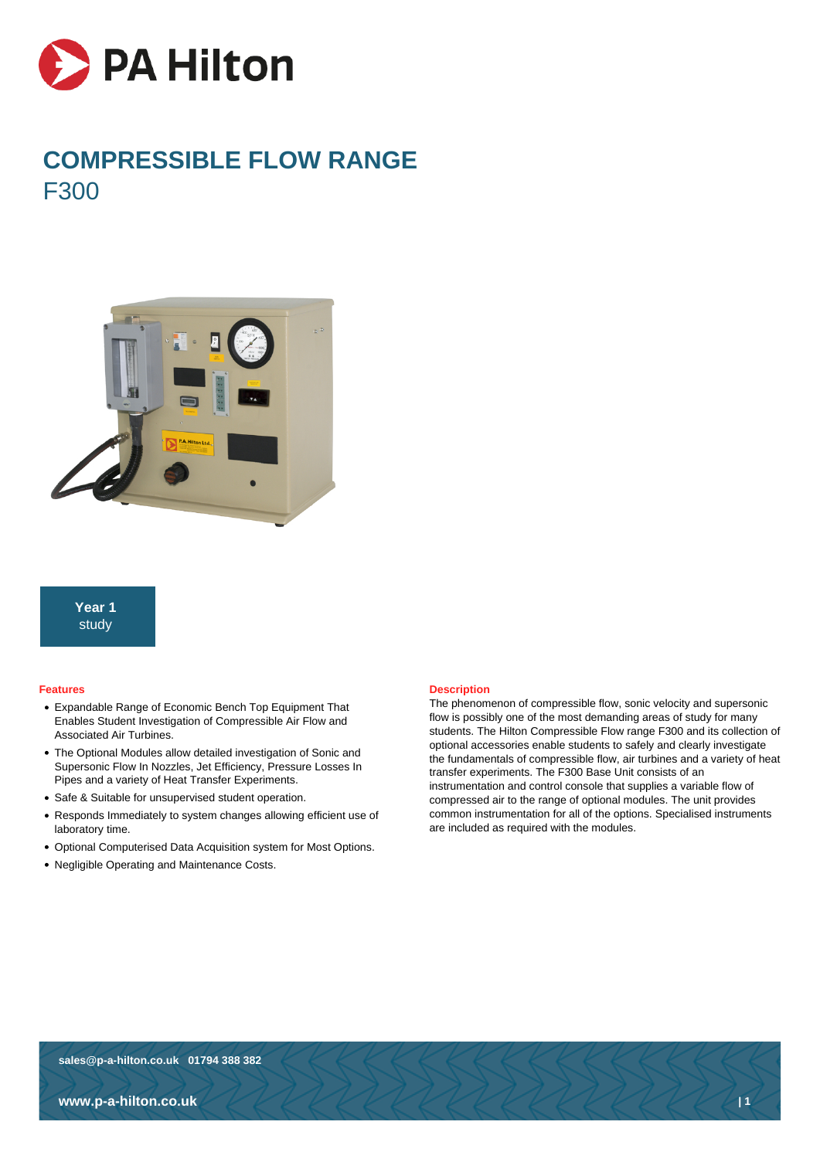

# **COMPRESSIBLE FLOW RANGE** F300



**Year 1** study

#### **Features**

- Expandable Range of Economic Bench Top Equipment That Enables Student Investigation of Compressible Air Flow and Associated Air Turbines.
- The Optional Modules allow detailed investigation of Sonic and Supersonic Flow In Nozzles, Jet Efficiency, Pressure Losses In Pipes and a variety of Heat Transfer Experiments.
- Safe & Suitable for unsupervised student operation.
- Responds Immediately to system changes allowing efficient use of laboratory time.
- Optional Computerised Data Acquisition system for Most Options.
- Negligible Operating and Maintenance Costs.

## **Description**

The phenomenon of compressible flow, sonic velocity and supersonic flow is possibly one of the most demanding areas of study for many students. The Hilton Compressible Flow range F300 and its collection of optional accessories enable students to safely and clearly investigate the fundamentals of compressible flow, air turbines and a variety of heat transfer experiments. The F300 Base Unit consists of an instrumentation and control console that supplies a variable flow of compressed air to the range of optional modules. The unit provides common instrumentation for all of the options. Specialised instruments are included as required with the modules.